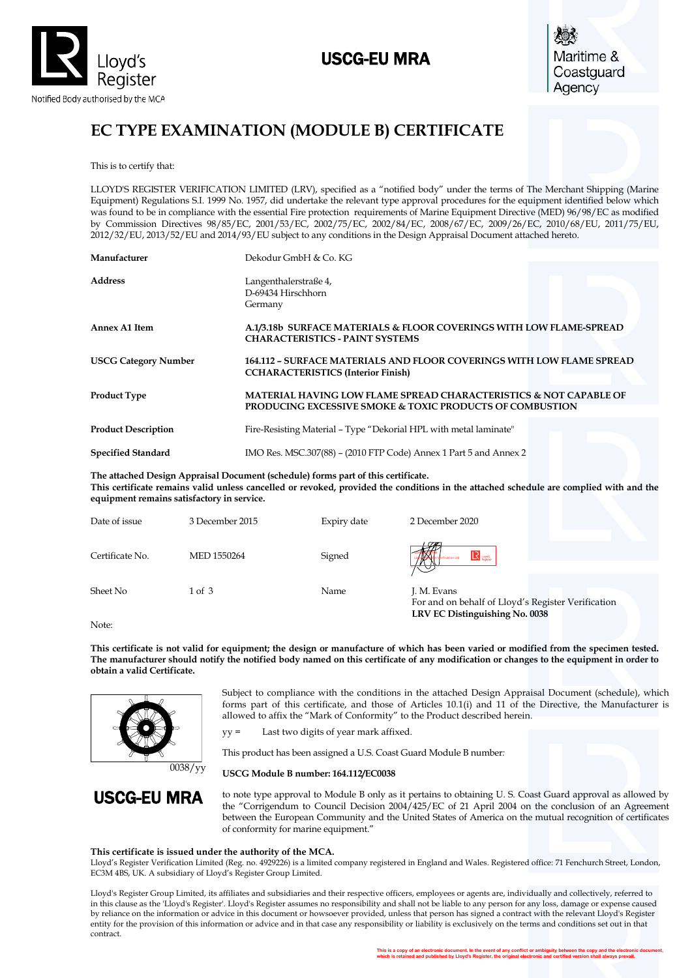

## USCG-EU MRA



# **EC TYPE EXAMINATION (MODULE B) CERTIFICATE**

This is to certify that:

LLOYD'S REGISTER VERIFICATION LIMITED (LRV), specified as a "notified body" under the terms of The Merchant Shipping (Marine Equipment) Regulations S.I. 1999 No. 1957, did undertake the relevant type approval procedures for the equipment identified below which was found to be in compliance with the essential Fire protection requirements of Marine Equipment Directive (MED) 96/98/EC as modified by Commission Directives 98/85/EC, 2001/53/EC, 2002/75/EC, 2002/84/EC, 2008/67/EC, 2009/26/EC, 2010/68/EU, 2011/75/EU, 2012/32/EU, 2013/52/EU and 2014/93/EU subject to any conditions in the Design Appraisal Document attached hereto.

| Manufacturer                | Dekodur GmbH & Co. KG                                                                                                                               |
|-----------------------------|-----------------------------------------------------------------------------------------------------------------------------------------------------|
| <b>Address</b>              | Langenthalerstraße 4,<br>D-69434 Hirschhorn<br>Germany                                                                                              |
| Annex A1 Item               | A.1/3.18b SURFACE MATERIALS & FLOOR COVERINGS WITH LOW FLAME-SPREAD<br><b>CHARACTERISTICS - PAINT SYSTEMS</b>                                       |
| <b>USCG Category Number</b> | <b>164.112 - SURFACE MATERIALS AND FLOOR COVERINGS WITH LOW FLAME SPREAD</b><br><b>CCHARACTERISTICS (Interior Finish)</b>                           |
| <b>Product Type</b>         | <b>MATERIAL HAVING LOW FLAME SPREAD CHARACTERISTICS &amp; NOT CAPABLE OF</b><br><b>PRODUCING EXCESSIVE SMOKE &amp; TOXIC PRODUCTS OF COMBUSTION</b> |
| <b>Product Description</b>  | Fire-Resisting Material – Type "Dekorial HPL with metal laminate"                                                                                   |
| <b>Specified Standard</b>   | IMO Res. MSC.307(88) – (2010 FTP Code) Annex 1 Part 5 and Annex 2                                                                                   |

**The attached Design Appraisal Document (schedule) forms part of this certificate. This certificate remains valid unless cancelled or revoked, provided the conditions in the attached schedule are complied with and the equipment remains satisfactory in service.**

| Date of issue   | 3 December 2015 | Expiry date | 2 December 2020                                                   |
|-----------------|-----------------|-------------|-------------------------------------------------------------------|
| Certificate No. | MED 1550264     | Signed      | $\mathbf{R}$ users                                                |
| Sheet No        | 1 of 3          | Name        | J. M. Evans<br>For and on behalf of Lloyd's Register Verification |

Note:

**This certificate is not valid for equipment; the design or manufacture of which has been varied or modified from the specimen tested. The manufacturer should notify the notified body named on this certificate of any modification or changes to the equipment in order to obtain a valid Certificate.**



Subject to compliance with the conditions in the attached Design Appraisal Document (schedule), which forms part of this certificate, and those of Articles 10.1(i) and 11 of the Directive, the Manufacturer is allowed to affix the "Mark of Conformity" to the Product described herein.

**LRV EC Distinguishing No. 0038**

yy = Last two digits of year mark affixed.

This product has been assigned a U.S. Coast Guard Module B number*:* 

0038/yy **USCG Module B number: 164.112/EC0038**

USCG-EU MRA

to note type approval to Module B only as it pertains to obtaining U. S. Coast Guard approval as allowed by the "Corrigendum to Council Decision 2004/425/EC of 21 April 2004 on the conclusion of an Agreement between the European Community and the United States of America on the mutual recognition of certificates of conformity for marine equipment."

#### **This certificate is issued under the authority of the MCA.**

Lloyd's Register Verification Limited (Reg. no. 4929226) is a limited company registered in England and Wales. Registered office: 71 Fenchurch Street, London, EC3M 4BS, UK. A subsidiary of Lloyd's Register Group Limited.

Lloyd's Register Group Limited, its affiliates and subsidiaries and their respective officers, employees or agents are, individually and collectively, referred to in this clause as the 'Lloyd's Register'. Lloyd's Register assumes no responsibility and shall not be liable to any person for any loss, damage or expense caused by reliance on the information or advice in this document or howsoever provided, unless that person has signed a contract with the relevant Lloyd's Register entity for the provision of this information or advice and in that case any responsibility or liability is exclusively on the terms and conditions set out in that contract.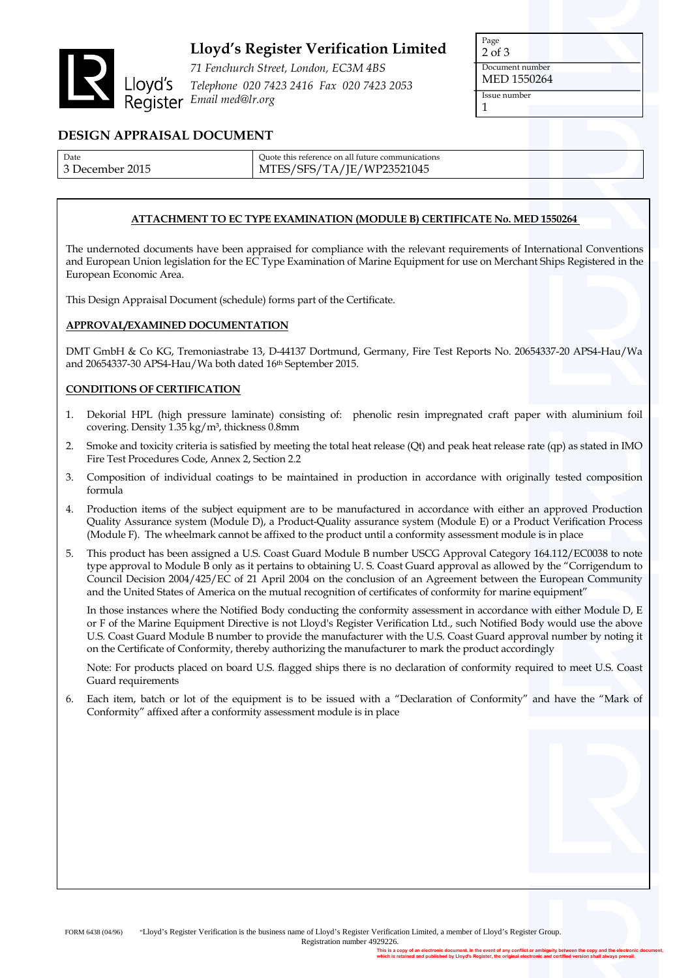

## **Lloyd's Register Verification Limited**

*71 Fenchurch Street, London, EC3M 4BS Telephone 020 7423 2416 Fax 020 7423 2053 Email med@lr.org*

| Page            |  |  |
|-----------------|--|--|
| $2$ of $3$      |  |  |
| Document number |  |  |
| MED 1550264     |  |  |
| Issue number    |  |  |
|                 |  |  |

### **DESIGN APPRAISAL DOCUMENT**

| Date       | Ouote this reference on all future communications |
|------------|---------------------------------------------------|
| 2015       | S/SFS/TA/JE/WP23521045                            |
| December : | MTES/                                             |

#### **ATTACHMENT TO EC TYPE EXAMINATION (MODULE B) CERTIFICATE No. MED 1550264**

The undernoted documents have been appraised for compliance with the relevant requirements of International Conventions and European Union legislation for the EC Type Examination of Marine Equipment for use on Merchant Ships Registered in the European Economic Area.

This Design Appraisal Document (schedule) forms part of the Certificate.

#### **APPROVAL/EXAMINED DOCUMENTATION**

DMT GmbH & Co KG, Tremoniastrabe 13, D-44137 Dortmund, Germany, Fire Test Reports No. 20654337-20 APS4-Hau/Wa and 20654337-30 APS4-Hau/Wa both dated 16th September 2015.

#### **CONDITIONS OF CERTIFICATION**

- 1. Dekorial HPL (high pressure laminate) consisting of: phenolic resin impregnated craft paper with aluminium foil covering. Density 1.35 kg/m³, thickness 0.8mm
- 2. Smoke and toxicity criteria is satisfied by meeting the total heat release (Qt) and peak heat release rate (qp) as stated in IMO Fire Test Procedures Code, Annex 2, Section 2.2
- 3. Composition of individual coatings to be maintained in production in accordance with originally tested composition formula
- 4. Production items of the subject equipment are to be manufactured in accordance with either an approved Production Quality Assurance system (Module D), a Product-Quality assurance system (Module E) or a Product Verification Process (Module F). The wheelmark cannot be affixed to the product until a conformity assessment module is in place
- 5. This product has been assigned a U.S. Coast Guard Module B number USCG Approval Category 164.112/EC0038 to note type approval to Module B only as it pertains to obtaining U. S. Coast Guard approval as allowed by the "Corrigendum to Council Decision 2004/425/EC of 21 April 2004 on the conclusion of an Agreement between the European Community and the United States of America on the mutual recognition of certificates of conformity for marine equipment"

In those instances where the Notified Body conducting the conformity assessment in accordance with either Module D, E or F of the Marine Equipment Directive is not Lloyd's Register Verification Ltd., such Notified Body would use the above U.S. Coast Guard Module B number to provide the manufacturer with the U.S. Coast Guard approval number by noting it on the Certificate of Conformity, thereby authorizing the manufacturer to mark the product accordingly

Note: For products placed on board U.S. flagged ships there is no declaration of conformity required to meet U.S. Coast Guard requirements

6. Each item, batch or lot of the equipment is to be issued with a "Declaration of Conformity" and have the "Mark of Conformity" affixed after a conformity assessment module is in place